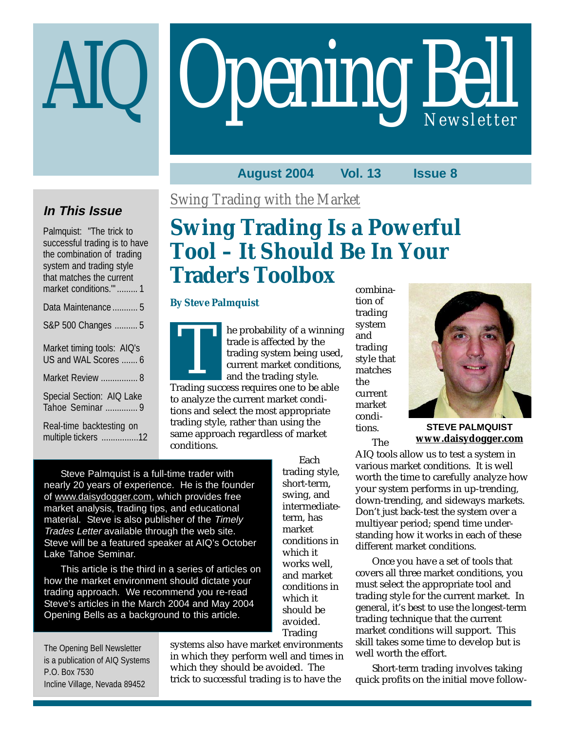# Opening Bell AIQ *Newsletter*

### **August 2004 Vol. 13 Issue 8**

## **In This Issue**

Palmquist: "The trick to successful trading is to have the combination of trading system and trading style that matches the current market conditions."' ......... 1

| Data Maintenance  5                                |
|----------------------------------------------------|
| S&P 500 Changes  5                                 |
| Market timing tools: AIQ's<br>US and WAL Scores  6 |
| Market Review  8                                   |
| Special Section: AIQ Lake<br>Tahoe Seminar  9      |
| Deal Barrell and the change of                     |

Real-time backtesting on multiple tickers ................12 *Swing Trading with the Market*

# **Swing Trading Is a Powerful Tool – It Should Be In Your Trader's Toolbox**

#### **By Steve Palmquist**

he probability of a winning trade is affected by the trading system being used, current market conditions, and the trading style. Trading system being used<br>trading system being used<br>current market conditions<br>and the trading style.<br>Trading success requires one to be able to analyze the current market conditions and select the most appropriate

trading style, rather than using the same approach regardless of market conditions.

Steve Palmquist is a full-time trader with nearly 20 years of experience. He is the founder of www.daisydogger.com, which provides free market analysis, trading tips, and educational material. Steve is also publisher of the Timely Trades Letter available through the web site. Steve will be a featured speaker at AIQ's October Lake Tahoe Seminar.

This article is the third in a series of articles on how the market environment should dictate your trading approach. We recommend you re-read Steve's articles in the March 2004 and May 2004 Opening Bells as a background to this article.

The Opening Bell Newsletter is a publication of AIQ Systems P.O. Box 7530 Incline Village, Nevada 89452

systems also have market environments in which they perform well and times in which they should be avoided. The trick to successful trading is to have the

combination of trading system and trading style that matches the current market conditions.

The



**STEVE PALMQUIST www.daisydogger.com**

AIQ tools allow us to test a system in various market conditions. It is well worth the time to carefully analyze how your system performs in up-trending, down-trending, and sideways markets. Don't just back-test the system over a multiyear period; spend time understanding how it works in each of these different market conditions.

Once you have a set of tools that covers all three market conditions, you must select the appropriate tool and trading style for the current market. In general, it's best to use the longest-term trading technique that the current market conditions will support. This skill takes some time to develop but is well worth the effort.

Short-term trading involves taking quick profits on the initial move follow-

Each trading style, short-term, swing, and intermediateterm, has market conditions in which it works well, and market conditions in which it should be avoided. Trading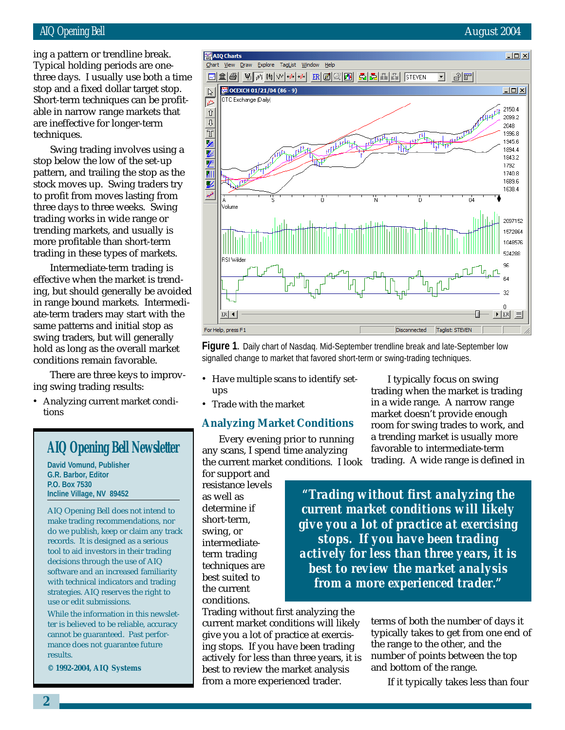#### AIQ Opening Bell August 2004

stop and a fixed dollar target stop.<br>Sk ing a pattern or trendline break. Typical holding periods are onethree days. I usually use both a time Short-term techniques can be profitable in narrow range markets that are ineffective for longer-term techniques.

Swing trading involves using a stop below the low of the set-up pattern, and trailing the stop as the stock moves up. Swing traders try to profit from moves lasting from three days to three weeks. Swing trading works in wide range or trending markets, and usually is more profitable than short-term trading in these types of markets.

Intermediate-term trading is effective when the market is trending, but should generally be avoided in range bound markets. Intermediate-term traders may start with the same patterns and initial stop as swing traders, but will generally hold as long as the overall market conditions remain favorable.

There are three keys to improving swing trading results:

• Analyzing current market conditions

## **AIQ Opening Bell Newsletter**

**David Vomund, Publisher G.R. Barbor, Editor P.O. Box 7530 Incline Village, NV 89452**

AIQ Opening Bell does not intend to make trading recommendations, nor do we publish, keep or claim any track records. It is designed as a serious tool to aid investors in their trading decisions through the use of AIQ software and an increased familiarity with technical indicators and trading strategies. AIQ reserves the right to use or edit submissions.

While the information in this newsletter is believed to be reliable, accuracy cannot be guaranteed. Past performance does not guarantee future results.

**© 1992-2004, AIQ Systems**



**Figure 1.** Daily chart of Nasdaq. Mid-September trendline break and late-September low signalled change to market that favored short-term or swing-trading techniques.

- Have multiple scans to identify setups
- Trade with the market

#### **Analyzing Market Conditions**

Every evening prior to running any scans, I spend time analyzing the current market conditions. I look

for support and resistance levels as well as determine if short-term, swing, or intermediateterm trading techniques are best suited to the current conditions.

Trading without first analyzing the current market conditions will likely give you a lot of practice at exercising stops. If you have been trading actively for less than three years, it is best to review the market analysis from a more experienced trader.

I typically focus on swing trading when the market is trading in a wide range. A narrow range market doesn't provide enough room for swing trades to work, and a trending market is usually more favorable to intermediate-term trading. A wide range is defined in

*"Trading without first analyzing the current market conditions will likely give you a lot of practice at exercising stops. If you have been trading actively for less than three years, it is best to review the market analysis from a more experienced trader."*

> terms of both the number of days it typically takes to get from one end of the range to the other, and the number of points between the top and bottom of the range.

If it typically takes less than four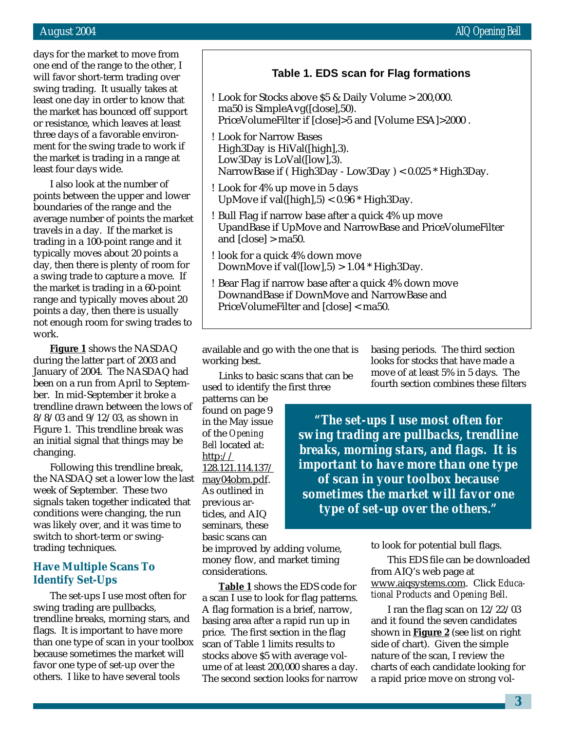days for the market to move from one end of the range to the other, I will favor short-term trading over swing trading. It usually takes at least one day in order to know that the market has bounced off support or resistance, which leaves at least three days of a favorable environment for the swing trade to work if the market is trading in a range at least four days wide.

I also look at the number of points between the upper and lower boundaries of the range and the average number of points the market travels in a day. If the market is trading in a 100-point range and it typically moves about 20 points a day, then there is plenty of room for a swing trade to capture a move. If the market is trading in a 60-point range and typically moves about 20 points a day, then there is usually not enough room for swing trades to work.

**Figure 1** shows the NASDAQ during the latter part of 2003 and January of 2004. The NASDAQ had been on a run from April to September. In mid-September it broke a trendline drawn between the lows of 8/8/03 and 9/12/03, as shown in Figure 1. This trendline break was an initial signal that things may be changing.

Following this trendline break, the NASDAQ set a lower low the last week of September. These two signals taken together indicated that conditions were changing, the run was likely over, and it was time to switch to short-term or swingtrading techniques.

#### **Have Multiple Scans To Identify Set-Ups**

The set-ups I use most often for swing trading are pullbacks, trendline breaks, morning stars, and flags. It is important to have more than one type of scan in your toolbox because sometimes the market will favor one type of set-up over the others. I like to have several tools

#### **Table 1. EDS scan for Flag formations**

- ! Look for Stocks above \$5 & Daily Volume > 200,000. ma50 is SimpleAvg([close],50). PriceVolumeFilter if [close]>5 and [Volume ESA]>2000 .
- ! Look for Narrow Bases High3Day is HiVal([high],3). Low3Day is LoVal([low],3). NarrowBase if ( High3Day - Low3Day ) < 0.025 \* High3Day.
- ! Look for 4% up move in 5 days UpMove if val( $\{[\text{high}], 5\}$  < 0.96  $*$  High3Day.
- ! Bull Flag if narrow base after a quick 4% up move UpandBase if UpMove and NarrowBase and PriceVolumeFilter and [close] > ma50.
- ! look for a quick 4% down move DownMove if val( $[low]$ ,5) > 1.04  $*$  High3Day.
- ! Bear Flag if narrow base after a quick 4% down move DownandBase if DownMove and NarrowBase and PriceVolumeFilter and [close] < ma50.

available and go with the one that is working best.

Links to basic scans that can be used to identify the first three

patterns can be found on page 9 in the May issue of the *Opening Bell* located at:  $http://$ 128.121.114.137/ may04obm.pdf. As outlined in previous articles, and AIQ seminars, these basic scans can

be improved by adding volume, money flow, and market timing considerations.

**Table 1** shows the EDS code for a scan I use to look for flag patterns. A flag formation is a brief, narrow, basing area after a rapid run up in price. The first section in the flag scan of Table 1 limits results to stocks above \$5 with average volume of at least 200,000 shares a day. The second section looks for narrow basing periods. The third section looks for stocks that have made a move of at least 5% in 5 days. The fourth section combines these filters

*"The set-ups I use most often for swing trading are pullbacks, trendline breaks, morning stars, and flags. It is important to have more than one type of scan in your toolbox because sometimes the market will favor one type of set-up over the others."*

to look for potential bull flags.

This EDS file can be downloaded from AIQ's web page at www.aiqsystems.com. Click *Educational Products* and *Opening Bell*.

I ran the flag scan on 12/22/03 and it found the seven candidates shown in **Figure 2** (see list on right side of chart). Given the simple nature of the scan, I review the charts of each candidate looking for a rapid price move on strong vol-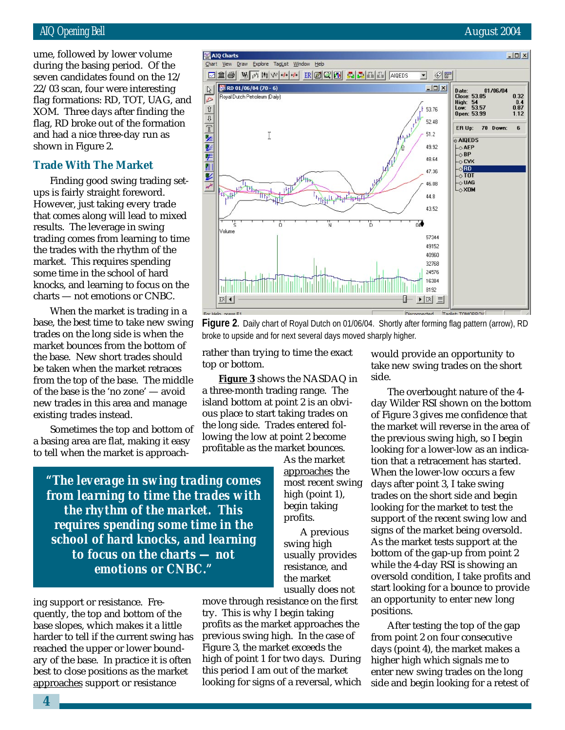$22/03$  scan, four were interesting ume, followed by lower volume during the basing period. Of the seven candidates found on the 12/ flag formations: RD, TOT, UAG, and XOM. Three days after finding the flag, RD broke out of the formation and had a nice three-day run as shown in Figure 2.

#### **Trade With The Market**

Finding good swing trading setups is fairly straight foreword. However, just taking every trade that comes along will lead to mixed results. The leverage in swing trading comes from learning to time the trades with the rhythm of the market. This requires spending some time in the school of hard knocks, and learning to focus on the charts — not emotions or CNBC.

When the market is trading in a base, the best time to take new swing trades on the long side is when the market bounces from the bottom of the base. New short trades should be taken when the market retraces from the top of the base. The middle of the base is the 'no zone' — avoid new trades in this area and manage existing trades instead.

Sometimes the top and bottom of a basing area are flat, making it easy to tell when the market is approach-

*"The leverage in swing trading comes from learning to time the trades with the rhythm of the market. This requires spending some time in the school of hard knocks, and learning to focus on the charts — not emotions or CNBC."*

ing support or resistance. Frequently, the top and bottom of the base slopes, which makes it a little harder to tell if the current swing has reached the upper or lower boundary of the base. In practice it is often best to close positions as the market approaches support or resistance

move through resistance on the first try. This is why I begin taking profits as the market approaches the previous swing high. In the case of Figure 3, the market exceeds the high of point 1 for two days. During this period I am out of the market looking for signs of a reversal, which

would provide an opportunity to take new swing trades on the short side.

The overbought nature of the 4 day Wilder RSI shown on the bottom of Figure 3 gives me confidence that the market will reverse in the area of the previous swing high, so I begin looking for a lower-low as an indication that a retracement has started. When the lower-low occurs a few days after point 3, I take swing trades on the short side and begin looking for the market to test the support of the recent swing low and signs of the market being oversold. As the market tests support at the bottom of the gap-up from point 2 while the 4-day RSI is showing an oversold condition, I take profits and start looking for a bounce to provide an opportunity to enter new long positions.

After testing the top of the gap from point 2 on four consecutive days (point 4), the market makes a higher high which signals me to enter new swing trades on the long side and begin looking for a retest of



rather than trying to time the exact top or bottom.

**Figure 3** shows the NASDAQ in a three-month trading range. The island bottom at point 2 is an obvious place to start taking trades on the long side. Trades entered following the low at point 2 become profitable as the market bounces.

> As the market approaches the most recent swing high (point 1), begin taking profits.

A previous swing high usually provides resistance, and the market usually does not

AIQ Opening Bell August 2004



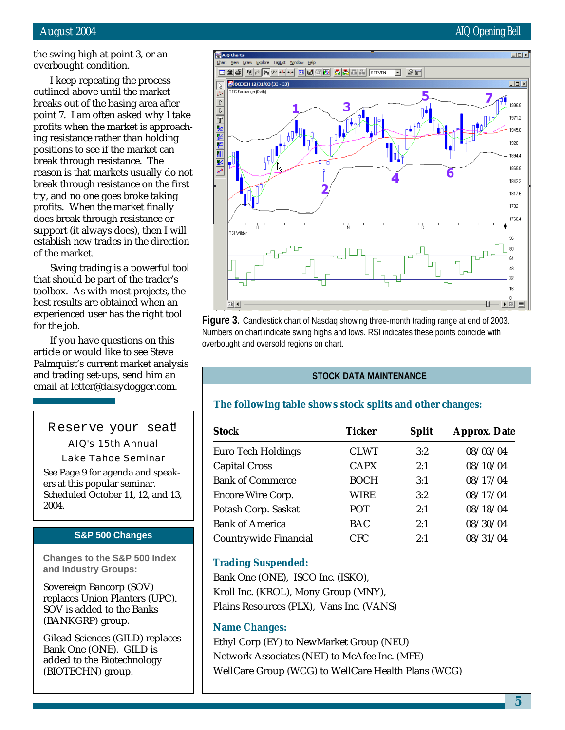the swing high at point 3, or an overbought condition.

 $\overline{\mathbb{R}}$ 

凸

 $\frac{1}{\sqrt{2}}\left|\frac{1}{\sqrt{2}}\right|\left|\frac{1}{\sqrt{2}}\right|\left|\frac{1}{\sqrt{2}}\right|\left|\frac{1}{\sqrt{2}}\right|\left|\frac{1}{\sqrt{2}}\right|\left|\frac{1}{\sqrt{2}}\right|\left|\frac{1}{\sqrt{2}}\right|\left|\frac{1}{\sqrt{2}}\right|\left|\frac{1}{\sqrt{2}}\right|\left|\frac{1}{\sqrt{2}}\right|\left|\frac{1}{\sqrt{2}}\right|\left|\frac{1}{\sqrt{2}}\right|\left|\frac{1}{\sqrt{2}}\right|\left|\frac{1}{\sqrt{2}}\right|\left|\frac{1}{\sqrt{2}}\right$ 

医  $\overline{\mathbf{N}}$ 

₽

SI Wilde

 $ER$   $\vert$   $\vert$ 

C Exchange (Daily)

I keep repeating the process outlined above until the market breaks out of the basing area after point 7. I am often asked why I take profits when the market is approaching resistance rather than holding positions to see if the market can break through resistance. The reason is that markets usually do not break through resistance on the first try, and no one goes broke taking profits. When the market finally does break through resistance or support (it always does), then I will establish new trades in the direction of the market.

Swing trading is a powerful tool that should be part of the trader's toolbox. As with most projects, the best results are obtained when an experienced user has the right tool for the job.

If you have questions on this article or would like to see Steve Palmquist's current market analysis and trading set-ups, send him an email at letter@daisydogger.com.

Reserve your seat

AIQ's 15th Annual Lake Tahoe Seminar See Page 9 for agenda and speakers at this popular seminar. Scheduled October 11, 12, and 13, 2004.

#### **S&P 500 Changes**

**Changes to the S&P 500 Index and Industry Groups:**

Sovereign Bancorp (SOV) replaces Union Planters (UPC). SOV is added to the Banks (BANKGRP) group.

Gilead Sciences (GILD) replaces Bank One (ONE). GILD is added to the Biotechnology (BIOTECHN) group.



**Figure 3.** Candlestick chart of Nasdaq showing three-month trading range at end of 2003. Numbers on chart indicate swing highs and lows. RSI indicates these points coincide with overbought and oversold regions on chart.

#### **STOCK DATA MAINTENANCE**

#### **The following table shows stock splits and other changes:**

| <b>Stock</b>              | <b>Ticker</b> | <b>Split</b> | <b>Approx. Date</b> |
|---------------------------|---------------|--------------|---------------------|
| <b>Euro Tech Holdings</b> | <b>CLWT</b>   | 3:2          | 08/03/04            |
| <b>Capital Cross</b>      | <b>CAPX</b>   | 2:1          | 08/10/04            |
| <b>Bank of Commerce</b>   | <b>BOCH</b>   | 3:1          | 08/17/04            |
| <b>Encore Wire Corp.</b>  | WIRE          | 3:2          | 08/17/04            |
| Potash Corp. Saskat       | <b>POT</b>    | 2:1          | 08/18/04            |
| <b>Bank of America</b>    | <b>BAC</b>    | 2:1          | 08/30/04            |
| Countrywide Financial     | <b>CFC</b>    | 2:1          | 08/31/04            |

#### **Trading Suspended:**

Bank One (ONE), ISCO Inc. (ISKO), Kroll Inc. (KROL), Mony Group (MNY), Plains Resources (PLX), Vans Inc. (VANS)

#### **Name Changes:**

Ethyl Corp (EY) to NewMarket Group (NEU) Network Associates (NET) to McAfee Inc. (MFE) WellCare Group (WCG) to WellCare Health Plans (WCG)

#### August 2004 **AUGUST 2004** All Control of the Control of the Control of the Control of the Control of the Control of the Control of the Control of the Control of the Control of the Control of the Control of the Control of t

1817.6 1792 766.4

80

48 32 16  $\blacktriangleright$  ER  $\equiv$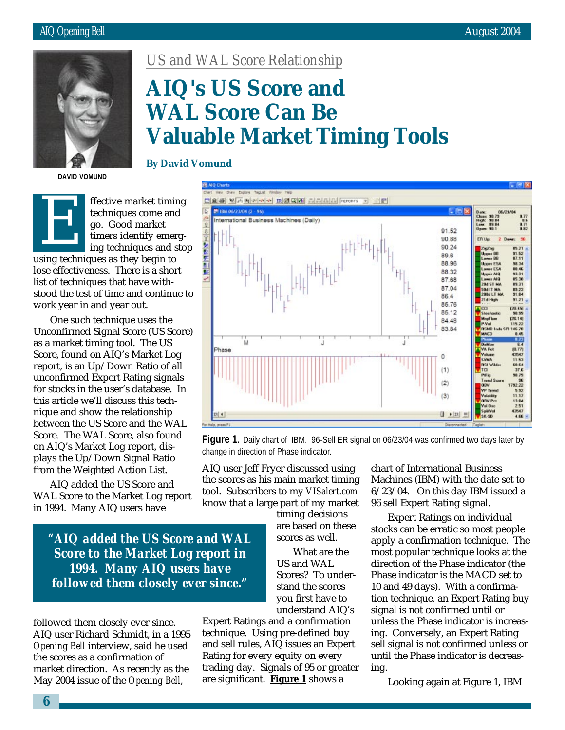

*US and WAL Score Relationship*

# **AIQ's US Score and WAL Score Can Be Valuable Market Timing Tools**

**DAVID VOMUND**



lose effectiveness. There is a short list of techniques that have withstood the test of time and continue to work year in and year out.

One such technique uses the Unconfirmed Signal Score (US Score) as a market timing tool. The US Score, found on AIQ's Market Log report, is an Up/Down Ratio of all unconfirmed Expert Rating signals for stocks in the user's database. In this article we'll discuss this technique and show the relationship between the US Score and the WAL Score. The WAL Score, also found on AIQ's Market Log report, displays the Up/Down Signal Ratio from the Weighted Action List.

AIQ added the US Score and WAL Score to the Market Log report in 1994. Many AIQ users have

#### **By David Vomund**



**Figure 1.** Daily chart of IBM. 96-Sell ER signal on 06/23/04 was confirmed two days later by change in direction of Phase indicator.

AIQ user Jeff Fryer discussed using the scores as his main market timing tool. Subscribers to my *VISalert.com* know that a large part of my market

> timing decisions are based on these scores as well.

What are the US and WAL Scores? To understand the scores you first have to understand AIQ's

*"AIQ added the US Score and WAL Score to the Market Log report in 1994. Many AIQ users have followed them closely ever since."*

followed them closely ever since. AIQ user Richard Schmidt, in a 1995 *Opening Bell* interview, said he used the scores as a confirmation of market direction. As recently as the May 2004 issue of the *Opening Bell*,

Expert Ratings and a confirmation technique. Using pre-defined buy and sell rules, AIQ issues an Expert Rating for every equity on every trading day. Signals of 95 or greater are significant. **Figure 1** shows a

chart of International Business Machines (IBM) with the date set to 6/23/04. On this day IBM issued a 96 sell Expert Rating signal.

Expert Ratings on individual stocks can be erratic so most people apply a confirmation technique. The most popular technique looks at the direction of the Phase indicator (the Phase indicator is the MACD set to 10 and 49 days). With a confirmation technique, an Expert Rating buy signal is not confirmed until or unless the Phase indicator is increasing. Conversely, an Expert Rating sell signal is not confirmed unless or until the Phase indicator is decreasing.

Looking again at Figure 1, IBM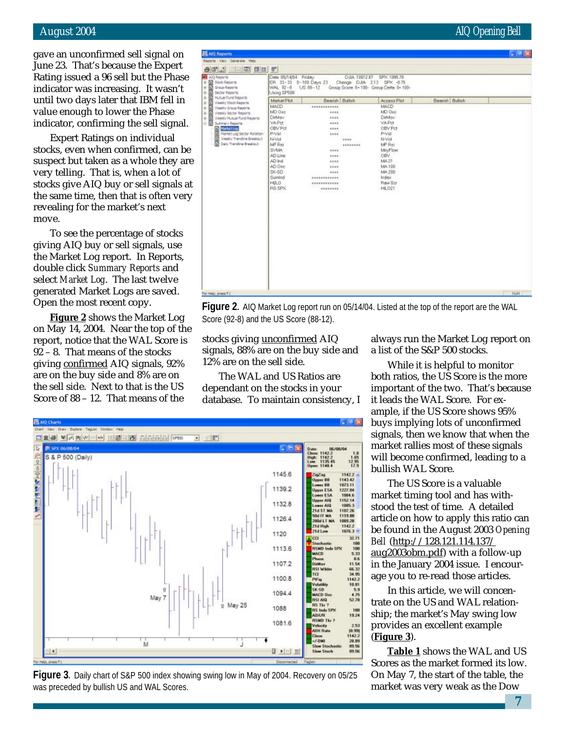#### August 2004 AIQ Opening Bell

gave an unconfirmed sell signal on June 23. That's because the Expert Rating issued a 96 sell but the Phase indicator was increasing. It wasn't until two days later that IBM fell in value enough to lower the Phase indicator, confirming the sell signal.

Expert Ratings on individual stocks, even when confirmed, can be suspect but taken as a whole they are very telling. That is, when a lot of stocks give AIQ buy or sell signals at the same time, then that is often very revealing for the market's next move.

To see the percentage of stocks giving AIQ buy or sell signals, use the Market Log report. In Reports, double click *Summary Reports* and select *Market Log*. The last twelve generated Market Logs are saved. Open the most recent copy.

**Figure 2** shows the Market Log on May 14, 2004. Near the top of the report, notice that the WAL Score is 92 – 8. That means of the stocks giving confirmed AIQ signals, 92% are on the buy side and 8% are on the sell side. Next to that is the US Score of 88 – 12. That means of the

| <b>Ell</b> AIQ Reports                                                                                                                                                                                                                   |                                                                                                                                                                            |                                                                                                                                                             |                  |                                                                                                                                                                      |                 | $  B $ $x$ |
|------------------------------------------------------------------------------------------------------------------------------------------------------------------------------------------------------------------------------------------|----------------------------------------------------------------------------------------------------------------------------------------------------------------------------|-------------------------------------------------------------------------------------------------------------------------------------------------------------|------------------|----------------------------------------------------------------------------------------------------------------------------------------------------------------------|-----------------|------------|
| Reports Very Generate Help                                                                                                                                                                                                               |                                                                                                                                                                            |                                                                                                                                                             |                  |                                                                                                                                                                      |                 |            |
| $-171$ $-100$ $-1$                                                                                                                                                                                                                       |                                                                                                                                                                            |                                                                                                                                                             |                  |                                                                                                                                                                      |                 |            |
| Ma AlQ Reports<br>= 10 Stock Reports<br>= 10 Stock Reports<br>= 10 Stocky Reports<br>= 10 Mutual Fund Re<br>Sector Reports<br><b>Hutual Fund Reports</b>                                                                                 | Date 05/14/04 Friday<br>ER 33-33 0-100 Days 23<br>WAL 92-8<br>Using SP500<br>Market Plot                                                                                   | $US 88 - 12$<br>Bearsh Bulish                                                                                                                               |                  | DJJA 10012.87 SPX 1095.70<br>Change DJIA 2.13 SPX -0.75<br>Group Score 0+100- Group Delta 0+100-<br>Access Plat                                                      | Bearish Bullish |            |
| Weekly Stock Reports<br>Weekly Group Reports<br>Weekly Sector Reports<br>Weekly Mutual Fund Reports<br>E- D Sunnery Reports<br>Market Log<br>Navket Log Sector Rotation<br>俹<br>Weekly Trendine Breakout<br>匬<br>Daiy Transfirm Brasicut | MACD<br>MD Osc<br>DisMov<br>VAPrt<br>OBV Pd<br>P-Vol<br>N-Vol<br>MF Rsi<br><b>SVMA</b><br>AD Line<br>AD Ind.<br>AD Osc<br>SK-SD<br>Sumind<br><b>HI/LO</b><br><b>RS SPX</b> | $- 15555555556$<br>4444<br>4666<br>6668<br>1111<br>それもも<br><br>1111<br>eeee<br>6666<br>4646<br><b><i><u>BARRESSEER</u></i></b><br>1555555555888<br>eccecccc | 3333<br>******** | MACD<br>MD Osc<br>DirMov<br><b>VAPd</b><br>OBV Pct<br>P-Vol<br>N-Vol<br>MF Rsi<br>Mrs/Flow<br>OBV.<br>MA 21<br>MA.100<br>MA 200<br>Index<br>Raw Scr<br><b>HIL021</b> |                 |            |
| For Help, press P1                                                                                                                                                                                                                       |                                                                                                                                                                            |                                                                                                                                                             |                  |                                                                                                                                                                      |                 | PALM       |

**Figure 2.** AIQ Market Log report run on 05/14/04. Listed at the top of the report are the WAL Score (92-8) and the US Score (88-12).

stocks giving unconfirmed AIQ signals, 88% are on the buy side and 12% are on the sell side.

The WAL and US Ratios are dependant on the stocks in your database. To maintain consistency, I



**Figure 3.** Daily chart of S&P 500 index showing swing low in May of 2004. Recovery on 05/25 was preceded by bullish US and WAL Scores.

always run the Market Log report on a list of the S&P 500 stocks.

While it is helpful to monitor both ratios, the US Score is the more important of the two. That's because it leads the WAL Score. For example, if the US Score shows 95% buys implying lots of unconfirmed signals, then we know that when the market rallies most of these signals will become confirmed, leading to a bullish WAL Score.

The US Score is a valuable market timing tool and has withstood the test of time. A detailed article on how to apply this ratio can be found in the August 2003 *Opening Bell* (http://128.121.114.137/ aug2003obm.pdf) with a follow-up in the January 2004 issue. I encourage you to re-read those articles.

In this article, we will concentrate on the US and WAL relationship; the market's May swing low provides an excellent example (**Figure 3**).

**Table 1** shows the WAL and US Scores as the market formed its low. On May 7, the start of the table, the market was very weak as the Dow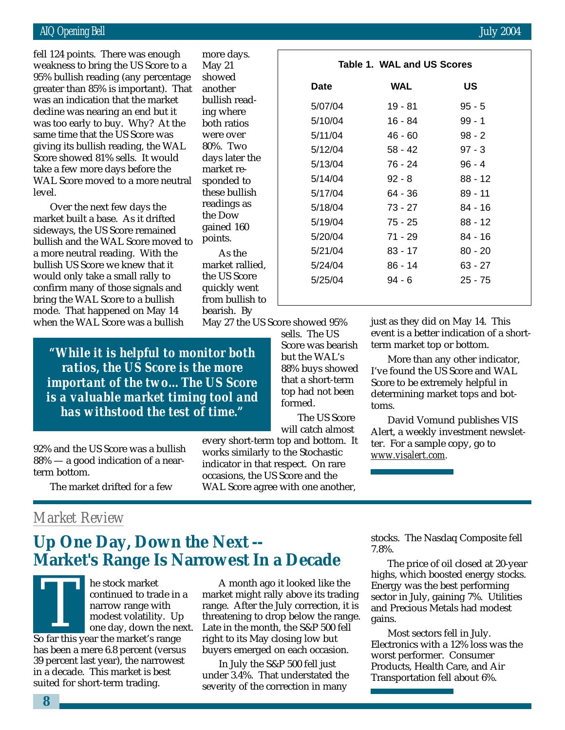#### AIQ Opening Bell **August 2004 August 2004**

greater than 85% is important). That fell 124 points. There was enough weakness to bring the US Score to a 95% bullish reading (any percentage was an indication that the market decline was nearing an end but it was too early to buy. Why? At the same time that the US Score was giving its bullish reading, the WAL Score showed 81% sells. It would take a few more days before the WAL Score moved to a more neutral level.

Over the next few days the market built a base. As it drifted sideways, the US Score remained bullish and the WAL Score moved to a more neutral reading. With the bullish US Score we knew that it would only take a small rally to confirm many of those signals and bring the WAL Score to a bullish mode. That happened on May 14 when the WAL Score was a bullish

| <b>Bell</b>                                                                                                                                                                                                                                                                                                                                        |                                                                                                                                                                                                                     |                                                                                                                                                                 |                                                                                                                                       | <b>July 2004</b>                                                                                                                                                                                                   |  |
|----------------------------------------------------------------------------------------------------------------------------------------------------------------------------------------------------------------------------------------------------------------------------------------------------------------------------------------------------|---------------------------------------------------------------------------------------------------------------------------------------------------------------------------------------------------------------------|-----------------------------------------------------------------------------------------------------------------------------------------------------------------|---------------------------------------------------------------------------------------------------------------------------------------|--------------------------------------------------------------------------------------------------------------------------------------------------------------------------------------------------------------------|--|
| s. There was enough<br>bring the US Score to a<br>eading (any percentage<br>35% is important). That<br>ation that the market<br>earing an end but it                                                                                                                                                                                               | more days.<br>May $21$<br>showed<br>another<br>bullish read-<br>ing where                                                                                                                                           | <b>Date</b><br>5/07/04<br>5/10/04                                                                                                                               | Table 1. WAL and US Scores<br><b>WAL</b><br>$19 - 81$<br>$16 - 84$                                                                    | <b>US</b><br>$95 - 5$<br>$99 - 1$                                                                                                                                                                                  |  |
| to buy. Why? At the<br>at the US Score was<br>lish reading, the WAL<br>d 81% sells. It would<br>ore days before the<br>noved to a more neutral<br>next few days the<br>a base. As it drifted<br><b>US</b> Score remained<br>ne WAL Score moved to<br>al reading. With the<br>ore we knew that it<br>ake a small rally to<br>y of those signals and | both ratios<br>were over<br>80%. Two<br>days later the<br>market re-<br>sponded to<br>these bullish<br>readings as<br>the Dow<br>gained 160<br>points.<br>As the<br>market rallied,<br>the US Score<br>quickly went | 5/11/04<br>5/12/04<br>5/13/04<br>5/14/04<br>5/17/04<br>5/18/04<br>5/19/04<br>5/20/04<br>5/21/04<br>5/24/04<br>5/25/04                                           | $46 - 60$<br>$58 - 42$<br>76 - 24<br>$92 - 8$<br>64 - 36<br>$73 - 27$<br>$75 - 25$<br>$71 - 29$<br>$83 - 17$<br>$86 - 14$<br>$94 - 6$ | $98 - 2$<br>$97 - 3$<br>$96 - 4$<br>$88 - 12$<br>$89 - 11$<br>$84 - 16$<br>$88 - 12$<br>$84 - 16$<br>$80 - 20$<br>$63 - 27$<br>$25 - 75$                                                                           |  |
| L Score to a bullish<br>nappened on May 14<br>AL Score was a bullish<br>$\cdot$ it is helpful to monitor both<br>s, the US Score is the more<br>ant of the twoThe US Score<br>uable market timing tool and<br>vithstood the test of time."                                                                                                         | from bullish to<br>bearish. By<br>May 27 the US Score showed 95%                                                                                                                                                    | sells. The US<br>Score was bearish<br>but the WAL's<br>88% buys showed<br>that a short-term<br>top had not been<br>formed.<br>The US Score<br>will catch almost | term market top or bottom.<br>Score to be extremely helpful in<br>toms.                                                               | just as they did on May 14. This<br>event is a better indication of a short<br>More than any other indicator,<br>I've found the US Score and WAL<br>determining market tops and bot-<br>David Vomund publishes VIS |  |
| US Score was a bullish<br>d indication of a near-<br>et drifted for a few:                                                                                                                                                                                                                                                                         | works similarly to the Stochastic<br>indicator in that respect. On rare<br>occasions, the US Score and the                                                                                                          | every short-term top and bottom. It<br>WAL Score agree with one another,                                                                                        | ter. For a sample copy, go to<br>www.visalert.com.                                                                                    | Alert, a weekly investment newslet-                                                                                                                                                                                |  |
| 'eview<br><b>Day, Down the Next --</b><br>'s Range Is Narrowest In a Decade<br>he stock market                                                                                                                                                                                                                                                     |                                                                                                                                                                                                                     | A month ago it looked like the                                                                                                                                  | 7.8%.                                                                                                                                 | stocks. The Nasdaq Composite fell<br>The price of oil closed at 20-year<br>highs, which boosted energy stocks.<br>Energy was the best performing                                                                   |  |

*"While it is helpful to monitor both ratios, the US Score is the more important of the two…The US Score is a valuable market timing tool and has withstood the test of time."*

92% and the US Score was a bullish 88% — a good indication of a nearterm bottom.

The market drifted for a few

## *Market Review*

## **Up One Day, Down the Next -- Market's Range Is Narrowest In a Decade**

continued to trade in a narrow range with modest volatility. Up one day, down the next. THE SLOCK HIATKEL<br>
continued to trade in<br>
narrow range with<br>
modest volatility. U<sub>J</sub><br>
one day, down the ne<br>
So far this year the market's range has been a mere 6.8 percent (versus 39 percent last year), the narrowest in a decade. This market is best suited for short-term trading.

A month ago it looked like the market might rally above its trading range. After the July correction, it is threatening to drop below the range. Late in the month, the S&P 500 fell right to its May closing low but buyers emerged on each occasion.

In July the S&P 500 fell just under 3.4%. That understated the severity of the correction in many

The price of oil closed at 20-year highs, which boosted energy stocks. Energy was the best performing sector in July, gaining 7%. Utilities and Precious Metals had modest gains.

Most sectors fell in July. Electronics with a 12% loss was the worst performer. Consumer Products, Health Care, and Air Transportation fell about 6%.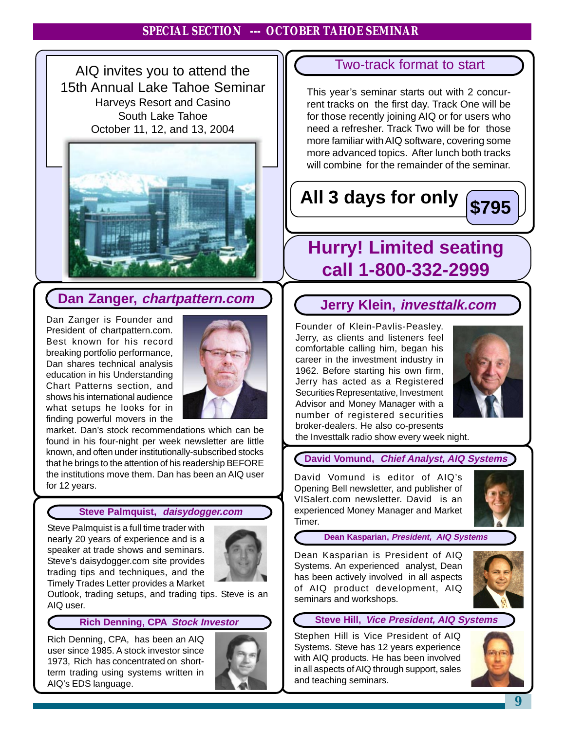#### **August 2004 AIQ Opening Bell Section --- OCTOBER TAHOE SEMINAR**

AIQ invites you to attend the 15th Annual Lake Tahoe Seminar Harveys Resort and Casino South Lake Tahoe October 11, 12, and 13, 2004



# **Dan Zanger,** *chartpattern.com* **Jerry Klein,** *investtalk.com*

President of chartpattern.com. Best known for his record<br>breaking.portfolio.performance Dan Zanger is Founder and breaking portfolio performance, Dan shares technical analysis education in his Understanding Chart Patterns section, and shows his international audience what setups he looks for in finding powerful movers in the



market. Dan's stock recommendations which can be found in his four-night per week newsletter are little known, and often under institutionally-subscribed stocks that he brings to the attention of his readership BEFORE the institutions move them. Dan has been an AIQ user for 12 years.

#### **Steve Palmquist, daisydogger.com**

Steve Palmquist is a full time trader with nearly 20 years of experience and is a speaker at trade shows and seminars. Steve's daisydogger.com site provides trading tips and techniques, and the Timely Trades Letter provides a Market



Outlook, trading setups, and trading tips. Steve is an AIQ user.

#### **Rich Denning, CPA Stock Investor**

Rich Denning, CPA, has been an AIQ user since 1985. A stock investor since 1973, Rich has concentrated on shortterm trading using systems written in AIQ's EDS language.

.



### Two-track format to start

This year's seminar starts out with 2 concurrent tracks on the first day. Track One will be for those recently joining AIQ or for users who need a refresher. Track Two will be for those more familiar with AIQ software, covering some more advanced topics. After lunch both tracks will combine for the remainder of the seminar.

# **All 3 days for only \$795**



## **Hurry! Limited seating call 1-800-332-2999**

Founder of Klein-Pavlis-Peasley. Jerry, as clients and listeners feel comfortable calling him, began his career in the investment industry in 1962. Before starting his own firm, Jerry has acted as a Registered Securities Representative, Investment Advisor and Money Manager with a number of registered securities broker-dealers. He also co-presents



the Investtalk radio show every week night.

#### **David Vomund, Chief Analyst, AIQ Systems**

David Vomund is editor of AIQ's Opening Bell newsletter, and publisher of VISalert.com newsletter. David is an experienced Money Manager and Market Timer.



**Dean Kasparian, President, AIQ Systems**

Dean Kasparian is President of AIQ Systems. An experienced analyst, Dean has been actively involved in all aspects of AIQ product development, AIQ seminars and workshops.



#### **Steve Hill, Vice President, AIQ Systems**

Stephen Hill is Vice President of AIQ Systems. Steve has 12 years experience with AIQ products. He has been involved in all aspects of AIQ through support, sales and teaching seminars.

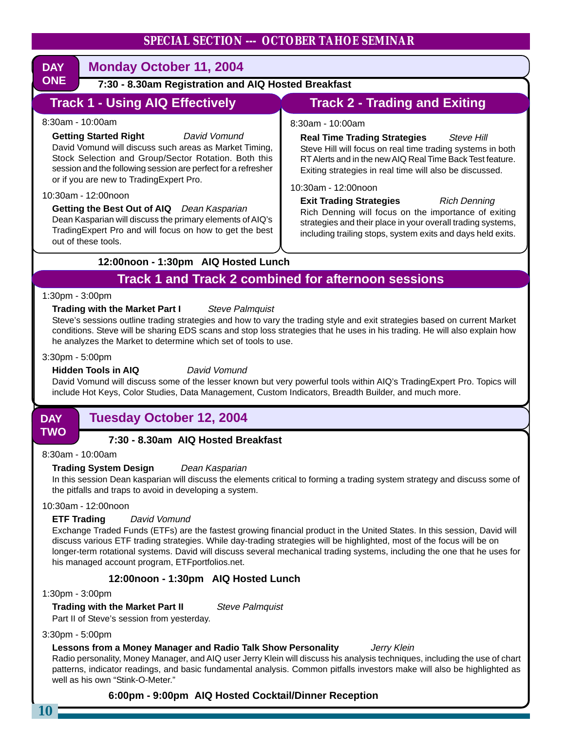#### **SPECIAL SECTION --- OCTOBER TAHOE SEMINAR**

| <b>DAY</b><br><b>Monday October 11, 2004</b>                                                                                                                                                                                                                                                                                                                                                                                                                                                                       |                                                                                                                                                                                                                                                                                                                                                                                                                                                                                                                                                                                |  |  |  |  |  |  |  |
|--------------------------------------------------------------------------------------------------------------------------------------------------------------------------------------------------------------------------------------------------------------------------------------------------------------------------------------------------------------------------------------------------------------------------------------------------------------------------------------------------------------------|--------------------------------------------------------------------------------------------------------------------------------------------------------------------------------------------------------------------------------------------------------------------------------------------------------------------------------------------------------------------------------------------------------------------------------------------------------------------------------------------------------------------------------------------------------------------------------|--|--|--|--|--|--|--|
| <b>ONE</b><br>7:30 - 8.30am Registration and AIQ Hosted Breakfast                                                                                                                                                                                                                                                                                                                                                                                                                                                  |                                                                                                                                                                                                                                                                                                                                                                                                                                                                                                                                                                                |  |  |  |  |  |  |  |
| <b>Track 1 - Using AIQ Effectively</b><br><b>Track 2 - Trading and Exiting</b>                                                                                                                                                                                                                                                                                                                                                                                                                                     |                                                                                                                                                                                                                                                                                                                                                                                                                                                                                                                                                                                |  |  |  |  |  |  |  |
| 8:30am - 10:00am<br><b>Getting Started Right</b><br>David Vomund<br>David Vomund will discuss such areas as Market Timing,<br>Stock Selection and Group/Sector Rotation. Both this<br>session and the following session are perfect for a refresher<br>or if you are new to TradingExpert Pro.<br>10:30am - 12:00noon<br>Getting the Best Out of AIQ Dean Kasparian<br>Dean Kasparian will discuss the primary elements of AIQ's<br>TradingExpert Pro and will focus on how to get the best<br>out of these tools. | 8:30am - 10:00am<br><b>Real Time Trading Strategies</b><br><b>Steve Hill</b><br>Steve Hill will focus on real time trading systems in both<br>RT Alerts and in the new AIQ Real Time Back Test feature.<br>Exiting strategies in real time will also be discussed.<br>10:30am - 12:00noon<br><b>Exit Trading Strategies</b><br><b>Rich Denning</b><br>Rich Denning will focus on the importance of exiting<br>strategies and their place in your overall trading systems,<br>including trailing stops, system exits and days held exits.                                       |  |  |  |  |  |  |  |
| 12:00noon - 1:30pm AIQ Hosted Lunch                                                                                                                                                                                                                                                                                                                                                                                                                                                                                |                                                                                                                                                                                                                                                                                                                                                                                                                                                                                                                                                                                |  |  |  |  |  |  |  |
|                                                                                                                                                                                                                                                                                                                                                                                                                                                                                                                    | <b>Track 1 and Track 2 combined for afternoon sessions</b>                                                                                                                                                                                                                                                                                                                                                                                                                                                                                                                     |  |  |  |  |  |  |  |
| <b>Trading with the Market Part I</b><br><b>Steve Palmquist</b><br>3:30pm - 5:00pm<br><b>Hidden Tools in AIQ</b><br>David Vomund                                                                                                                                                                                                                                                                                                                                                                                   | 1:30pm - 3:00pm<br>Steve's sessions outline trading strategies and how to vary the trading style and exit strategies based on current Market<br>conditions. Steve will be sharing EDS scans and stop loss strategies that he uses in his trading. He will also explain how<br>he analyzes the Market to determine which set of tools to use.<br>David Vomund will discuss some of the lesser known but very powerful tools within AIQ's TradingExpert Pro. Topics will<br>include Hot Keys, Color Studies, Data Management, Custom Indicators, Breadth Builder, and much more. |  |  |  |  |  |  |  |
| <b>Tuesday October 12, 2004</b><br><b>DAY</b>                                                                                                                                                                                                                                                                                                                                                                                                                                                                      |                                                                                                                                                                                                                                                                                                                                                                                                                                                                                                                                                                                |  |  |  |  |  |  |  |
| <b>TWO</b><br>7:30 - 8.30am AIQ Hosted Breakfast<br>8:30am - 10:00am<br><b>Trading System Design</b><br>Dean Kasparian<br>the pitfalls and traps to avoid in developing a system.<br>10:30am - 12:00noon<br><b>ETF Trading</b><br>David Vomund<br>discuss various ETF trading strategies. While day-trading strategies will be highlighted, most of the focus will be on                                                                                                                                           | In this session Dean kasparian will discuss the elements critical to forming a trading system strategy and discuss some of<br>Exchange Traded Funds (ETFs) are the fastest growing financial product in the United States. In this session, David will<br>longer-term rotational systems. David will discuss several mechanical trading systems, including the one that he uses for                                                                                                                                                                                            |  |  |  |  |  |  |  |
| his managed account program, ETFportfolios.net.<br>12:00noon - 1:30pm AIQ Hosted Lunch                                                                                                                                                                                                                                                                                                                                                                                                                             |                                                                                                                                                                                                                                                                                                                                                                                                                                                                                                                                                                                |  |  |  |  |  |  |  |
| 1:30pm - 3:00pm                                                                                                                                                                                                                                                                                                                                                                                                                                                                                                    |                                                                                                                                                                                                                                                                                                                                                                                                                                                                                                                                                                                |  |  |  |  |  |  |  |
| <b>Trading with the Market Part II</b><br><b>Steve Palmquist</b><br>Part II of Steve's session from yesterday.<br>3:30pm - 5:00pm                                                                                                                                                                                                                                                                                                                                                                                  |                                                                                                                                                                                                                                                                                                                                                                                                                                                                                                                                                                                |  |  |  |  |  |  |  |

#### Lessons from a Money Manager and Radio Talk Show Personality *Jerry Klein*

Radio personality, Money Manager, and AIQ user Jerry Klein will discuss his analysis techniques, including the use of chart patterns, indicator readings, and basic fundamental analysis. Common pitfalls investors make will also be highlighted as well as his own "Stink-O-Meter."

#### **6:00pm - 9:00pm AIQ Hosted Cocktail/Dinner Reception**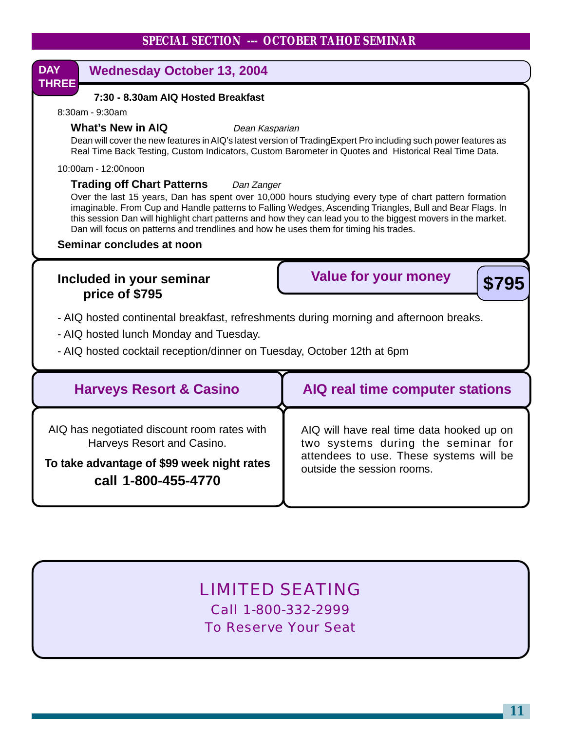

## LIMITED SEATING

Call 1-800-332-2999 To Reserve Your Seat